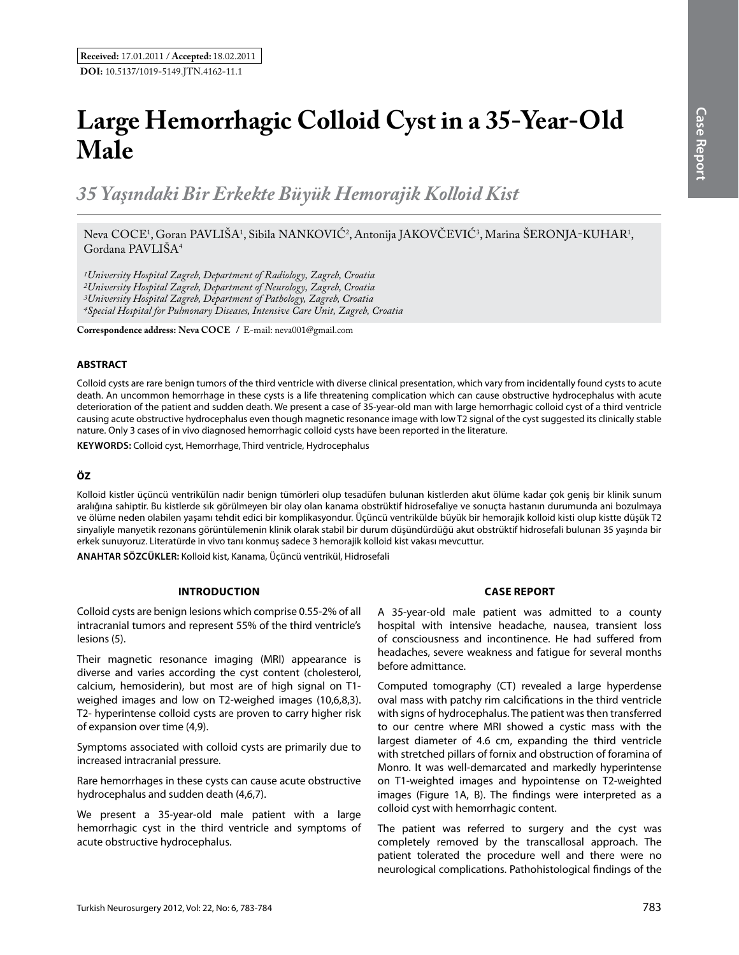# **Large Hemorrhagic Colloid Cyst in a 35-Year-Old Male**

*35 Yaşındaki Bir Erkekte Büyük Hemorajik Kolloid Kist* 

# Neva COCE<sup>1</sup>, Goran PAVLISA<sup>1</sup>, Sibila NANKOVIC<sup>2</sup>, Antonija JAKOVCEVIC<sup>3</sup>, Marina SERONJA-KUHAR<sup>1</sup>, Gordana PAVLIŠA<sup>4</sup>

*1University Hospital Zagreb, Department of Radiology, Zagreb, Croatia 2University Hospital Zagreb, Department of Neurology, Zagreb, Croatia 3University Hospital Zagreb, Department of Pathology, Zagreb, Croatia 4Special Hospital for Pulmonary Diseases, Intensive Care Unit, Zagreb, Croatia*

**Correspondence address: Neva Coce /** E-mail: neva001@gmail.com

## **ABSTRACT**

Colloid cysts are rare benign tumors of the third ventricle with diverse clinical presentation, which vary from incidentally found cysts to acute death. An uncommon hemorrhage in these cysts is a life threatening complication which can cause obstructive hydrocephalus with acute deterioration of the patient and sudden death. We present a case of 35-year-old man with large hemorrhagic colloid cyst of a third ventricle causing acute obstructive hydrocephalus even though magnetic resonance image with low T2 signal of the cyst suggested its clinically stable nature. Only 3 cases of in vivo diagnosed hemorrhagic colloid cysts have been reported in the literature.

**Keywords:** Colloid cyst, Hemorrhage, Third ventricle, Hydrocephalus

### **ÖZ**

Kolloid kistler üçüncü ventrikülün nadir benign tümörleri olup tesadüfen bulunan kistlerden akut ölüme kadar çok geniş bir klinik sunum aralığına sahiptir. Bu kistlerde sık görülmeyen bir olay olan kanama obstrüktif hidrosefaliye ve sonuçta hastanın durumunda ani bozulmaya ve ölüme neden olabilen yaşamı tehdit edici bir komplikasyondur. Üçüncü ventrikülde büyük bir hemorajik kolloid kisti olup kistte düşük T2 sinyaliyle manyetik rezonans görüntülemenin klinik olarak stabil bir durum düşündürdüğü akut obstrüktif hidrosefali bulunan 35 yaşında bir erkek sunuyoruz. Literatürde in vivo tanı konmuş sadece 3 hemorajik kolloid kist vakası mevcuttur.

**ANAHTAR SÖZCÜKLER:** Kolloid kist, Kanama, Üçüncü ventrikül, Hidrosefali

#### **Introduction**

Colloid cysts are benign lesions which comprise 0.55-2% of all intracranial tumors and represent 55% of the third ventricle's lesions (5).

Their magnetic resonance imaging (MRI) appearance is diverse and varies according the cyst content (cholesterol, calcium, hemosiderin), but most are of high signal on T1 weighed images and low on T2-weighed images (10,6,8,3). T2- hyperintense colloid cysts are proven to carry higher risk of expansion over time (4,9).

Symptoms associated with colloid cysts are primarily due to increased intracranial pressure.

Rare hemorrhages in these cysts can cause acute obstructive hydrocephalus and sudden death (4,6,7).

We present a 35-year-old male patient with a large hemorrhagic cyst in the third ventricle and symptoms of acute obstructive hydrocephalus.

#### **Case report**

A 35-year-old male patient was admitted to a county hospital with intensive headache, nausea, transient loss of consciousness and incontinence. He had suffered from headaches, severe weakness and fatigue for several months before admittance.

Computed tomography (CT) revealed a large hyperdense oval mass with patchy rim calcifications in the third ventricle with signs of hydrocephalus. The patient was then transferred to our centre where MRI showed a cystic mass with the largest diameter of 4.6 cm, expanding the third ventricle with stretched pillars of fornix and obstruction of foramina of Monro. It was well-demarcated and markedly hyperintense on T1-weighted images and hypointense on T2-weighted images (Figure 1A, B). The findings were interpreted as a colloid cyst with hemorrhagic content.

The patient was referred to surgery and the cyst was completely removed by the transcallosal approach. The patient tolerated the procedure well and there were no neurological complications. Pathohistological findings of the